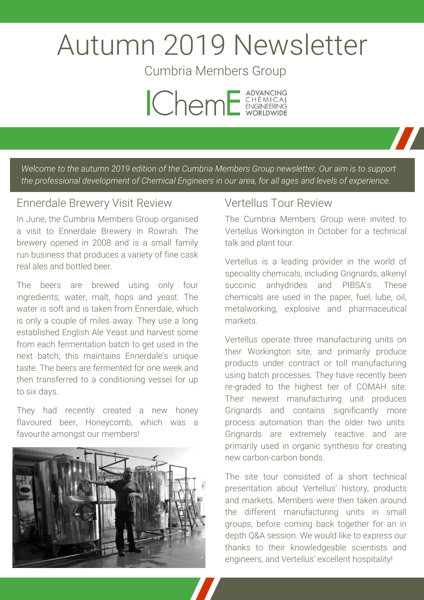# Autumn 2019 Newsletter

Cumbria Members Group



*Welcome to the autumn 2019 edition of the Cumbria Members Group newsletter. Our aim is to support the professional development of Chemical Engineers in our area, for all ages and levels of experience.*

#### Ennerdale Brewery Visit Review

In June, the Cumbria Members Group organised a visit to Ennerdale Brewery in Rowrah. The brewery opened in 2008 and is a small family run business that produces a variety of fine cask real ales and bottled beer.

The beers are brewed using only four ingredients; water, malt, hops and yeast. The water is soft and is taken from Ennerdale, which is only a couple of miles away. They use a long established English Ale Yeast and harvest some from each fermentation batch to get used in the next batch; this maintains Ennerdale's unique taste. The beers are fermented for one week and then transferred to a conditioning vessel for up to six days.

They had recently created a new honey flavoured beer, Honeycomb, which was a favourite amongst our members!



### Vertellus Tour Review

The Cumbria Members Group were invited to Vertellus Workington in October for a technical talk and plant tour.

Vertellus is a leading provider in the world of speciality chemicals, including Grignards, alkenyl succinic anhydrides and PIBSA's. These chemicals are used in the paper, fuel, lube, oil, metalworking, explosive and pharmaceutical markets.

Vertellus operate three manufacturing units on their Workington site, and primarily produce products under contract or toll manufacturing using batch processes. They have recently been re-graded to the highest tier of COMAH site. Their newest manufacturing unit produces Grignards and contains significantly more process automation than the older two units. Grignards are extremely reactive and are primarily used in organic synthesis for creating new carbon-carbon bonds.

The site tour consisted of a short technical presentation about Vertellus' history, products and markets. Members were then taken around the different manufacturing units in small groups, before coming back together for an in depth Q&A session. We would like to express our thanks to their knowledgeable scientists and engineers, and Vertellus' excellent hospitality!